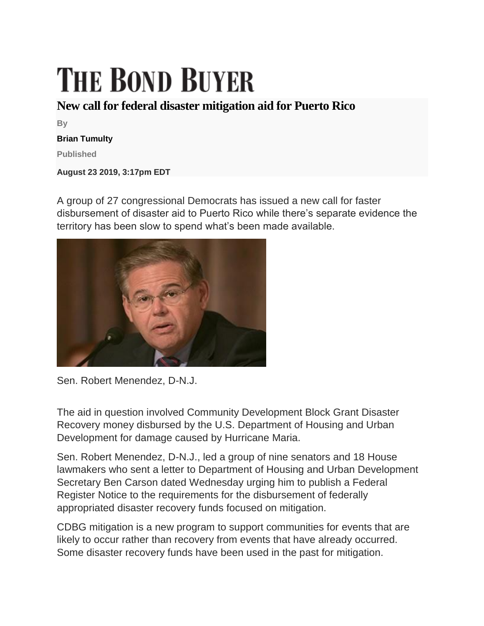## **THE BOND BUYER**

## **New call for federal disaster mitigation aid for Puerto Rico**

**By**

## **Brian Tumulty**

**Published**

**August 23 2019, 3:17pm EDT**

A group of 27 congressional Democrats has issued a new call for faster disbursement of disaster aid to Puerto Rico while there's separate evidence the territory has been slow to spend what's been made available.



Sen. Robert Menendez, D-N.J.

The aid in question involved Community Development Block Grant Disaster Recovery money disbursed by the U.S. Department of Housing and Urban Development for damage caused by Hurricane Maria.

Sen. Robert Menendez, D-N.J., led a group of nine senators and 18 House lawmakers who sent a letter to Department of Housing and Urban Development Secretary Ben Carson dated Wednesday urging him to publish a Federal Register Notice to the requirements for the disbursement of federally appropriated disaster recovery funds focused on mitigation.

CDBG mitigation is a new program to support communities for events that are likely to occur rather than recovery from events that have already occurred. Some disaster recovery funds have been used in the past for mitigation.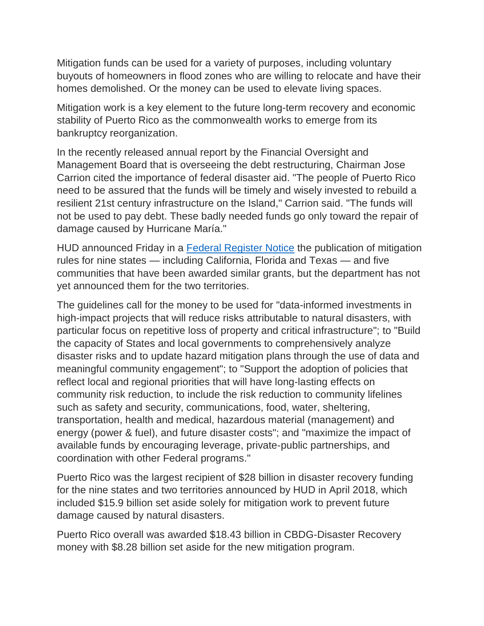Mitigation funds can be used for a variety of purposes, including voluntary buyouts of homeowners in flood zones who are willing to relocate and have their homes demolished. Or the money can be used to elevate living spaces.

Mitigation work is a key element to the future long-term recovery and economic stability of Puerto Rico as the commonwealth works to emerge from its bankruptcy reorganization.

In the recently released annual report by the Financial Oversight and Management Board that is overseeing the debt restructuring, Chairman Jose Carrion cited the importance of federal disaster aid. "The people of Puerto Rico need to be assured that the funds will be timely and wisely invested to rebuild a resilient 21st century infrastructure on the Island," Carrion said. "The funds will not be used to pay debt. These badly needed funds go only toward the repair of damage caused by Hurricane María."

HUD announced Friday in a [Federal Register Notice](https://files.hudexchange.info/resources/documents/FR-6109-N-02-CDBG-Mitigation-Notice.pdf) the publication of mitigation rules for nine states — including California, Florida and Texas — and five communities that have been awarded similar grants, but the department has not yet announced them for the two territories.

The guidelines call for the money to be used for "data-informed investments in high-impact projects that will reduce risks attributable to natural disasters, with particular focus on repetitive loss of property and critical infrastructure"; to "Build the capacity of States and local governments to comprehensively analyze disaster risks and to update hazard mitigation plans through the use of data and meaningful community engagement"; to "Support the adoption of policies that reflect local and regional priorities that will have long-lasting effects on community risk reduction, to include the risk reduction to community lifelines such as safety and security, communications, food, water, sheltering, transportation, health and medical, hazardous material (management) and energy (power & fuel), and future disaster costs"; and "maximize the impact of available funds by encouraging leverage, private-public partnerships, and coordination with other Federal programs."

Puerto Rico was the largest recipient of \$28 billion in disaster recovery funding for the nine states and two territories announced by HUD in April 2018, which included \$15.9 billion set aside solely for mitigation work to prevent future damage caused by natural disasters.

Puerto Rico overall was awarded \$18.43 billion in CBDG-Disaster Recovery money with \$8.28 billion set aside for the new mitigation program.